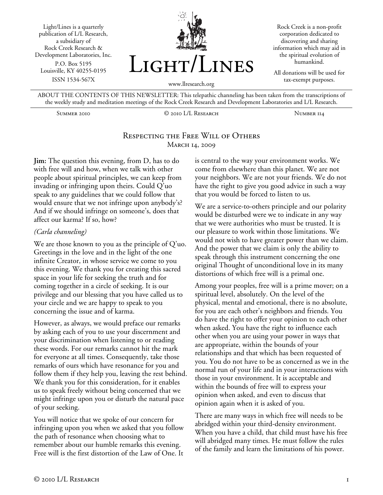Light/Lines is a quarterly publication of L/L Research, a subsidiary of Rock Creek Research & Development Laboratories, Inc. P.O. Box 5195 Louisville, KY 40255-0195 ISSN 1534-567X



Rock Creek is a non-profit corporation dedicated to discovering and sharing information which may aid in the spiritual evolution of humankind.

All donations will be used for tax-exempt purposes.

ABOUT THE CONTENTS OF THIS NEWSLETTER: This telepathic channeling has been taken from the transcriptions of the weekly study and meditation meetings of the Rock Creek Research and Development Laboratories and L/L Research.

Summer 2010 © 2010 L/L Research Number 114

# Respecting the Free Will of Others MARCH 14, 2009

**Jim:** The question this evening, from D, has to do with free will and how, when we talk with other people about spiritual principles, we can keep from invading or infringing upon theirs. Could Q'uo speak to any guidelines that we could follow that would ensure that we not infringe upon anybody's? And if we should infringe on someone's, does that affect our karma? If so, how?

### *(Carla channeling)*

We are those known to you as the principle of Q'uo. Greetings in the love and in the light of the one infinite Creator, in whose service we come to you this evening. We thank you for creating this sacred space in your life for seeking the truth and for coming together in a circle of seeking. It is our privilege and our blessing that you have called us to your circle and we are happy to speak to you concerning the issue and of karma.

However, as always, we would preface our remarks by asking each of you to use your discernment and your discrimination when listening to or reading these words. For our remarks cannot hit the mark for everyone at all times. Consequently, take those remarks of ours which have resonance for you and follow them if they help you, leaving the rest behind. We thank you for this consideration, for it enables us to speak freely without being concerned that we might infringe upon you or disturb the natural pace of your seeking.

You will notice that we spoke of our concern for infringing upon you when we asked that you follow the path of resonance when choosing what to remember about our humble remarks this evening. Free will is the first distortion of the Law of One. It

is central to the way your environment works. We come from elsewhere than this planet. We are not your neighbors. We are not your friends. We do not have the right to give you good advice in such a way that you would be forced to listen to us.

We are a service-to-others principle and our polarity would be disturbed were we to indicate in any way that we were authorities who must be trusted. It is our pleasure to work within those limitations. We would not wish to have greater power than we claim. And the power that we claim is only the ability to speak through this instrument concerning the one original Thought of unconditional love in its many distortions of which free will is a primal one.

Among your peoples, free will is a prime mover; on a spiritual level, absolutely. On the level of the physical, mental and emotional, there is no absolute, for you are each other's neighbors and friends. You do have the right to offer your opinion to each other when asked. You have the right to influence each other when you are using your power in ways that are appropriate, within the bounds of your relationships and that which has been requested of you. You do not have to be as concerned as we in the normal run of your life and in your interactions with those in your environment. It is acceptable and within the bounds of free will to express your opinion when asked, and even to discuss that opinion again when it is asked of you.

There are many ways in which free will needs to be abridged within your third-density environment. When you have a child, that child must have his free will abridged many times. He must follow the rules of the family and learn the limitations of his power.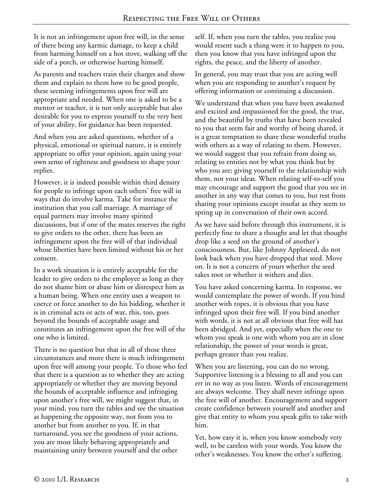It is not an infringement upon free will, in the sense of there being any karmic damage, to keep a child from harming himself on a hot stove, walking off the side of a porch, or otherwise hurting himself.

As parents and teachers train their charges and show them and explain to them how to be good people, these seeming infringements upon free will are appropriate and needed. When one is asked to be a mentor or teacher, it is not only acceptable but also desirable for you to express yourself to the very best of your ability, for guidance has been requested.

And when you are asked questions, whether of a physical, emotional or spiritual nature, it is entirely appropriate to offer your opinion, again using your own sense of rightness and goodness to shape your replies.

However, it is indeed possible within third density for people to infringe upon each others' free will in ways that do involve karma. Take for instance the institution that you call marriage. A marriage of equal partners may involve many spirited discussions, but if one of the mates reserves the right to give orders to the other, there has been an infringement upon the free will of that individual whose liberties have been limited without his or her consent.

In a work situation it is entirely acceptable for the leader to give orders to the employee as long as they do not shame him or abase him or disrespect him as a human being. When one entity uses a weapon to coerce or force another to do his bidding, whether it is in criminal acts or acts of war, this, too, goes beyond the bounds of acceptable usage and constitutes an infringement upon the free will of the one who is limited.

There is no question but that in all of those three circumstances and more there is much infringement upon free will among your people. To those who feel that there is a question as to whether they are acting appropriately or whether they are moving beyond the bounds of acceptable influence and infringing upon another's free will, we might suggest that, in your mind, you turn the tables and see the situation as happening the opposite way, not from you to another but from another to you. If, in that turnaround, you see the goodness of your actions, you are most likely behaving appropriately and maintaining unity between yourself and the other

self. If, when you turn the tables, you realize you would resent such a thing were it to happen to you, then you know that you have infringed upon the rights, the peace, and the liberty of another.

In general, you may trust that you are acting well when you are responding to another's request by offering information or continuing a discussion.

We understand that when you have been awakened and excited and impassioned for the good, the true, and the beautiful by truths that have been revealed to you that seem fair and worthy of being shared, it is a great temptation to share these wonderful truths with others as a way of relating to them. However, we would suggest that you refrain from doing so, relating to entities not by what you think but by who you are; giving yourself to the relationship with them, not your ideas. When relating self-to-self you may encourage and support the good that you see in another in any way that comes to you, but rest from sharing your opinions except insofar as they seem to spring up in conversation of their own accord.

As we have said before through this instrument, it is perfectly fine to share a thought and let that thought drop like a seed on the ground of another's consciousness. But, like Johnny Appleseed, do not look back when you have dropped that seed. Move on. It is not a concern of yours whether the seed takes root or whether it withers and dies.

You have asked concerning karma. In response, we would contemplate the power of words. If you bind another with ropes, it is obvious that you have infringed upon their free will. If you bind another with words, it is not at all obvious that free will has been abridged. And yet, especially when the one to whom you speak is one with whom you are in close relationship, the power of your words is great, perhaps greater than you realize.

When you are listening, you can do no wrong. Supportive listening is a blessing to all and you can err in no way as you listen. Words of encouragement are always welcome. They shall never infringe upon the free will of another. Encouragement and support create confidence between yourself and another and give that entity to whom you speak gifts to take with him.

Yet, how easy it is, when you know somebody very well, to be careless with your words. You know the other's weaknesses. You know the other's suffering.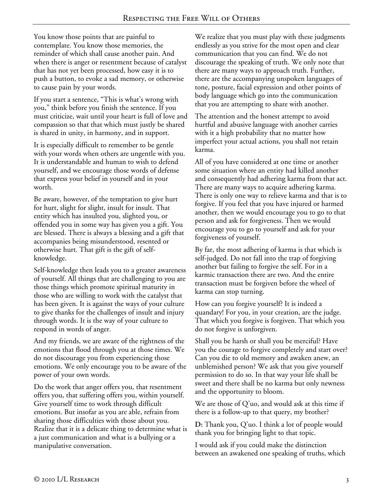You know those points that are painful to contemplate. You know those memories, the reminder of which shall cause another pain. And when there is anger or resentment because of catalyst that has not yet been processed, how easy it is to push a button, to evoke a sad memory, or otherwise to cause pain by your words.

If you start a sentence, "This is what's wrong with you," think before you finish the sentence. If you must criticize, wait until your heart is full of love and compassion so that that which must justly be shared is shared in unity, in harmony, and in support.

It is especially difficult to remember to be gentle with your words when others are ungentle with you. It is understandable and human to wish to defend yourself, and we encourage those words of defense that express your belief in yourself and in your worth.

Be aware, however, of the temptation to give hurt for hurt, slight for slight, insult for insult. That entity which has insulted you, slighted you, or offended you in some way has given you a gift. You are blessed. There is always a blessing and a gift that accompanies being misunderstood, resented or otherwise hurt. That gift is the gift of selfknowledge.

Self-knowledge then leads you to a greater awareness of yourself. All things that are challenging to you are those things which promote spiritual maturity in those who are willing to work with the catalyst that has been given. It is against the ways of your culture to give thanks for the challenges of insult and injury through words. It is the way of your culture to respond in words of anger.

And my friends, we are aware of the rightness of the emotions that flood through you at those times. We do not discourage you from experiencing those emotions. We only encourage you to be aware of the power of your own words.

Do the work that anger offers you, that resentment offers you, that suffering offers you, within yourself. Give yourself time to work through difficult emotions. But insofar as you are able, refrain from sharing those difficulties with those about you. Realize that it is a delicate thing to determine what is a just communication and what is a bullying or a manipulative conversation.

We realize that you must play with these judgments endlessly as you strive for the most open and clear communication that you can find. We do not discourage the speaking of truth. We only note that there are many ways to approach truth. Further, there are the accompanying unspoken languages of tone, posture, facial expression and other points of body language which go into the communication that you are attempting to share with another.

The attention and the honest attempt to avoid hurtful and abusive language with another carries with it a high probability that no matter how imperfect your actual actions, you shall not retain karma.

All of you have considered at one time or another some situation where an entity had killed another and consequently had adhering karma from that act. There are many ways to acquire adhering karma. There is only one way to relieve karma and that is to forgive. If you feel that you have injured or harmed another, then we would encourage you to go to that person and ask for forgiveness. Then we would encourage you to go to yourself and ask for your forgiveness of yourself.

By far, the most adhering of karma is that which is self-judged. Do not fall into the trap of forgiving another but failing to forgive the self. For in a karmic transaction there are two. And the entire transaction must be forgiven before the wheel of karma can stop turning.

How can you forgive yourself? It is indeed a quandary! For you, in your creation, are the judge. That which you forgive is forgiven. That which you do not forgive is unforgiven.

Shall you be harsh or shall you be merciful? Have you the courage to forgive completely and start over? Can you die to old memory and awaken anew, an unblemished person? We ask that you give yourself permission to do so. In that way your life shall be sweet and there shall be no karma but only newness and the opportunity to bloom.

We are those of Q'uo, and would ask at this time if there is a follow-up to that query, my brother?

**D:** Thank you, Q'uo. I think a lot of people would thank you for bringing light to that topic.

I would ask if you could make the distinction between an awakened one speaking of truths, which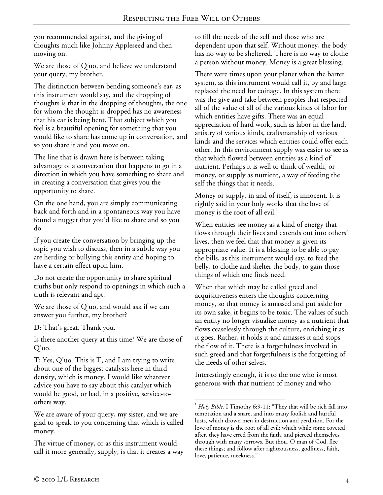you recommended against, and the giving of thoughts much like Johnny Appleseed and then moving on.

We are those of Q'uo, and believe we understand your query, my brother.

The distinction between bending someone's ear, as this instrument would say, and the dropping of thoughts is that in the dropping of thoughts, the one for whom the thought is dropped has no awareness that his ear is being bent. That subject which you feel is a beautiful opening for something that you would like to share has come up in conversation, and so you share it and you move on.

The line that is drawn here is between taking advantage of a conversation that happens to go in a direction in which you have something to share and in creating a conversation that gives you the opportunity to share.

On the one hand, you are simply communicating back and forth and in a spontaneous way you have found a nugget that you'd like to share and so you do.

If you create the conversation by bringing up the topic you wish to discuss, then in a subtle way you are herding or bullying this entity and hoping to have a certain effect upon him.

Do not create the opportunity to share spiritual truths but only respond to openings in which such a truth is relevant and apt.

We are those of Q'uo, and would ask if we can answer you further, my brother?

**D:** That's great. Thank you.

Is there another query at this time? We are those of Q'uo.

**T:** Yes, Q'uo. This is T, and I am trying to write about one of the biggest catalysts here in third density, which is money. I would like whatever advice you have to say about this catalyst which would be good, or bad, in a positive, service-toothers way.

We are aware of your query, my sister, and we are glad to speak to you concerning that which is called money.

The virtue of money, or as this instrument would call it more generally, supply, is that it creates a way to fill the needs of the self and those who are dependent upon that self. Without money, the body has no way to be sheltered. There is no way to clothe a person without money. Money is a great blessing.

There were times upon your planet when the barter system, as this instrument would call it, by and large replaced the need for coinage. In this system there was the give and take between peoples that respected all of the value of all of the various kinds of labor for which entities have gifts. There was an equal appreciation of hard work, such as labor in the land, artistry of various kinds, craftsmanship of various kinds and the services which entities could offer each other. In this environment supply was easier to see as that which flowed between entities as a kind of nutrient. Perhaps it is well to think of wealth, or money, or supply as nutrient, a way of feeding the self the things that it needs.

Money or supply, in and of itself, is innocent. It is rightly said in your holy works that the love of money is the root of all evil. $\cdot$ 

When entities see money as a kind of energy that flows through their lives and extends out into others' lives, then we feel that that money is given its appropriate value. It is a blessing to be able to pay the bills, as this instrument would say, to feed the belly, to clothe and shelter the body, to gain those things of which one finds need.

When that which may be called greed and acquisitiveness enters the thoughts concerning money, so that money is amassed and put aside for its own sake, it begins to be toxic. The values of such an entity no longer visualize money as a nutrient that flows ceaselessly through the culture, enriching it as it goes. Rather, it holds it and amasses it and stops the flow of it. There is a forgetfulness involved in such greed and that forgetfulness is the forgetting of the needs of other selves.

Interestingly enough, it is to the one who is most generous with that nutrient of money and who

 $\overline{a}$ <sup>1</sup> Holy Bible, I Timothy 6:9-11: "They that will be rich fall into temptation and a snare, and into many foolish and hurtful lusts, which drown men in destruction and perdition. For the love of money is the root of all evil: which while some coveted after, they have erred from the faith, and pierced themselves through with many sorrows. But thou, O man of God, flee these things; and follow after righteousness, godliness, faith, love, patience, meekness."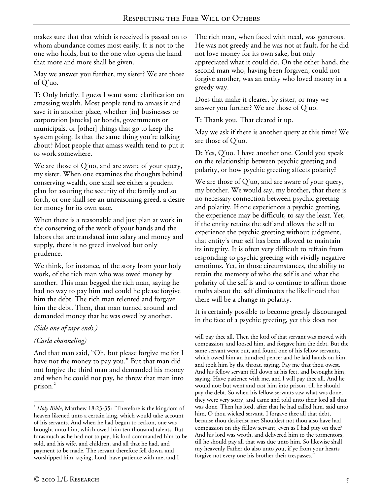makes sure that that which is received is passed on to whom abundance comes most easily. It is not to the one who holds, but to the one who opens the hand that more and more shall be given.

May we answer you further, my sister? We are those of Q'uo.

**T:** Only briefly. I guess I want some clarification on amassing wealth. Most people tend to amass it and save it in another place, whether [in] businesses or corporation [stocks] or bonds, governments or municipals, or [other] things that go to keep the system going. Is that the same thing you're talking about? Most people that amass wealth tend to put it to work somewhere.

We are those of Q'uo, and are aware of your query, my sister. When one examines the thoughts behind conserving wealth, one shall see either a prudent plan for assuring the security of the family and so forth, or one shall see an unreasoning greed, a desire for money for its own sake.

When there is a reasonable and just plan at work in the conserving of the work of your hands and the labors that are translated into salary and money and supply, there is no greed involved but only prudence.

We think, for instance, of the story from your holy work, of the rich man who was owed money by another. This man begged the rich man, saying he had no way to pay him and could he please forgive him the debt. The rich man relented and forgave him the debt. Then, that man turned around and demanded money that he was owed by another.

## *(Side one of tape ends.)*

## *(Carla channeling)*

1

And that man said, "Oh, but please forgive me for I have not the money to pay you." But that man did not forgive the third man and demanded his money and when he could not pay, he threw that man into prison.<sup>2</sup>

The rich man, when faced with need, was generous. He was not greedy and he was not at fault, for he did not love money for its own sake, but only appreciated what it could do. On the other hand, the second man who, having been forgiven, could not forgive another, was an entity who loved money in a greedy way.

Does that make it clearer, by sister, or may we answer you further? We are those of Q'uo.

**T:** Thank you. That cleared it up.

May we ask if there is another query at this time? We are those of Q'uo.

**D:** Yes, Q'uo. I have another one. Could you speak on the relationship between psychic greeting and polarity, or how psychic greeting affects polarity?

We are those of Q'uo, and are aware of your query, my brother. We would say, my brother, that there is no necessary connection between psychic greeting and polarity. If one experiences a psychic greeting, the experience may be difficult, to say the least. Yet, if the entity retains the self and allows the self to experience the psychic greeting without judgment, that entity's true self has been allowed to maintain its integrity. It is often very difficult to refrain from responding to psychic greeting with vividly negative emotions. Yet, in those circumstances, the ability to retain the memory of who the self is and what the polarity of the self is and to continue to affirm those truths about the self eliminates the likelihood that there will be a change in polarity.

It is certainly possible to become greatly discouraged in the face of a psychic greeting, yet this does not

 $\overline{a}$ will pay thee all. Then the lord of that servant was moved with compassion, and loosed him, and forgave him the debt. But the same servant went out, and found one of his fellow servants, which owed him an hundred pence: and he laid hands on him, and took him by the throat, saying, Pay me that thou owest. And his fellow servant fell down at his feet, and besought him, saying, Have patience with me, and I will pay thee all. And he would not: but went and cast him into prison, till he should pay the debt. So when his fellow servants saw what was done, they were very sorry, and came and told unto their lord all that was done. Then his lord, after that he had called him, said unto him, O thou wicked servant, I forgave thee all that debt, because thou desiredst me: Shouldest not thou also have had compassion on thy fellow servant, even as I had pity on thee? And his lord was wroth, and delivered him to the tormentors, till he should pay all that was due unto him. So likewise shall my heavenly Father do also unto you, if ye from your hearts forgive not every one his brother their trespasses."

<sup>2</sup> *Holy Bible*, Matthew 18:23-35: "Therefore is the kingdom of heaven likened unto a certain king, which would take account of his servants. And when he had begun to reckon, one was brought unto him, which owed him ten thousand talents. But forasmuch as he had not to pay, his lord commanded him to be sold, and his wife, and children, and all that he had, and payment to be made. The servant therefore fell down, and worshipped him, saying, Lord, have patience with me, and I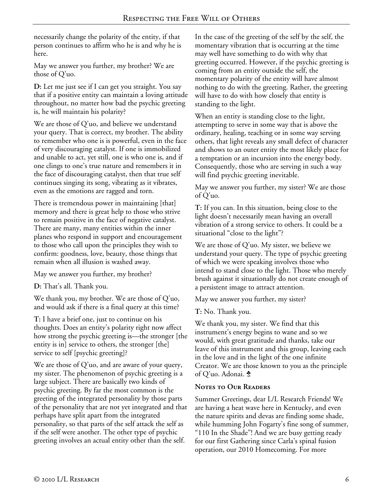necessarily change the polarity of the entity, if that person continues to affirm who he is and why he is here.

May we answer you further, my brother? We are those of Q'uo.

**D:** Let me just see if I can get you straight. You say that if a positive entity can maintain a loving attitude throughout, no matter how bad the psychic greeting is, he will maintain his polarity?

We are those of Q'uo, and believe we understand your query. That is correct, my brother. The ability to remember who one is is powerful, even in the face of very discouraging catalyst. If one is immobilized and unable to act, yet still, one is who one is, and if one clings to one's true nature and remembers it in the face of discouraging catalyst, then that true self continues singing its song, vibrating as it vibrates, even as the emotions are ragged and torn.

There is tremendous power in maintaining [that] memory and there is great help to those who strive to remain positive in the face of negative catalyst. There are many, many entities within the inner planes who respond in support and encouragement to those who call upon the principles they wish to confirm: goodness, love, beauty, those things that remain when all illusion is washed away.

May we answer you further, my brother?

**D:** That's all. Thank you.

We thank you, my brother. We are those of Q'uo, and would ask if there is a final query at this time?

**T:** I have a brief one, just to continue on his thoughts. Does an entity's polarity right now affect how strong the psychic greeting is—the stronger [the entity is in] service to others, the stronger [the] service to self [psychic greeting]?

We are those of Q'uo, and are aware of your query, my sister. The phenomenon of psychic greeting is a large subject. There are basically two kinds of psychic greeting. By far the most common is the greeting of the integrated personality by those parts of the personality that are not yet integrated and that perhaps have split apart from the integrated personality, so that parts of the self attack the self as if the self were another. The other type of psychic greeting involves an actual entity other than the self.

In the case of the greeting of the self by the self, the momentary vibration that is occurring at the time may well have something to do with why that greeting occurred. However, if the psychic greeting is coming from an entity outside the self, the momentary polarity of the entity will have almost nothing to do with the greeting. Rather, the greeting will have to do with how closely that entity is standing to the light.

When an entity is standing close to the light, attempting to serve in some way that is above the ordinary, healing, teaching or in some way serving others, that light reveals any small defect of character and shows to an outer entity the most likely place for a temptation or an incursion into the energy body. Consequently, those who are serving in such a way will find psychic greeting inevitable.

May we answer you further, my sister? We are those of Q'uo.

**T:** If you can. In this situation, being close to the light doesn't necessarily mean having an overall vibration of a strong service to others. It could be a situational "close to the light"?

We are those of Q'uo. My sister, we believe we understand your query. The type of psychic greeting of which we were speaking involves those who intend to stand close to the light. Those who merely brush against it situationally do not create enough of a persistent image to attract attention.

May we answer you further, my sister?

**T:** No. Thank you.

We thank you, my sister. We find that this instrument's energy begins to wane and so we would, with great gratitude and thanks, take our leave of this instrument and this group, leaving each in the love and in the light of the one infinite Creator. We are those known to you as the principle of Q'uo. Adonai. \$

## **Notes to Our Readers**

Summer Greetings, dear L/L Research Friends! We are having a heat wave here in Kentucky, and even the nature spirits and devas are finding some shade, while humming John Fogarty's fine song of summer, "110 In the Shade"! And we are busy getting ready for our first Gathering since Carla's spinal fusion operation, our 2010 Homecoming. For more